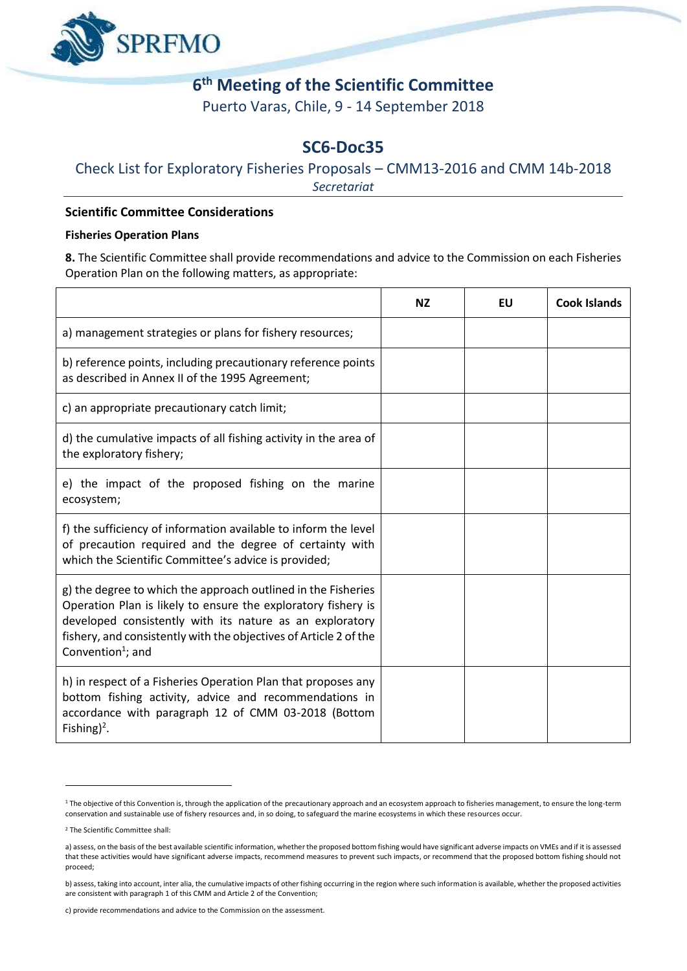

# **6 th Meeting of the Scientific Committee**

Puerto Varas, Chile, 9 - 14 September 2018

# **SC6-Doc35**

## Check List for Exploratory Fisheries Proposals – CMM13-2016 and CMM 14b-2018

*Secretariat*

#### **Scientific Committee Considerations**

#### **Fisheries Operation Plans**

**8.** The Scientific Committee shall provide recommendations and advice to the Commission on each Fisheries Operation Plan on the following matters, as appropriate:

|                                                                                                                                                                                                                                                                                                  | <b>NZ</b> | EU | <b>Cook Islands</b> |
|--------------------------------------------------------------------------------------------------------------------------------------------------------------------------------------------------------------------------------------------------------------------------------------------------|-----------|----|---------------------|
| a) management strategies or plans for fishery resources;                                                                                                                                                                                                                                         |           |    |                     |
| b) reference points, including precautionary reference points<br>as described in Annex II of the 1995 Agreement;                                                                                                                                                                                 |           |    |                     |
| c) an appropriate precautionary catch limit;                                                                                                                                                                                                                                                     |           |    |                     |
| d) the cumulative impacts of all fishing activity in the area of<br>the exploratory fishery;                                                                                                                                                                                                     |           |    |                     |
| e) the impact of the proposed fishing on the marine<br>ecosystem;                                                                                                                                                                                                                                |           |    |                     |
| f) the sufficiency of information available to inform the level<br>of precaution required and the degree of certainty with<br>which the Scientific Committee's advice is provided;                                                                                                               |           |    |                     |
| g) the degree to which the approach outlined in the Fisheries<br>Operation Plan is likely to ensure the exploratory fishery is<br>developed consistently with its nature as an exploratory<br>fishery, and consistently with the objectives of Article 2 of the<br>Convention <sup>1</sup> ; and |           |    |                     |
| h) in respect of a Fisheries Operation Plan that proposes any<br>bottom fishing activity, advice and recommendations in<br>accordance with paragraph 12 of CMM 03-2018 (Bottom<br>Fishing) <sup>2</sup> .                                                                                        |           |    |                     |

<u>.</u>

<sup>&</sup>lt;sup>1</sup> The objective of this Convention is, through the application of the precautionary approach and an ecosystem approach to fisheries management, to ensure the long-term conservation and sustainable use of fishery resources and, in so doing, to safeguard the marine ecosystems in which these resources occur.

<sup>2</sup> The Scientific Committee shall:

a) assess, on the basis of the best available scientific information, whether the proposed bottom fishing would have significant adverse impacts on VMEs and if it is assessed that these activities would have significant adverse impacts, recommend measures to prevent such impacts, or recommend that the proposed bottom fishing should not proceed;

b) assess, taking into account, inter alia, the cumulative impacts of other fishing occurring in the region where such information is available, whether the proposed activities are consistent with paragraph 1 of this CMM and Article 2 of the Convention;

c) provide recommendations and advice to the Commission on the assessment.